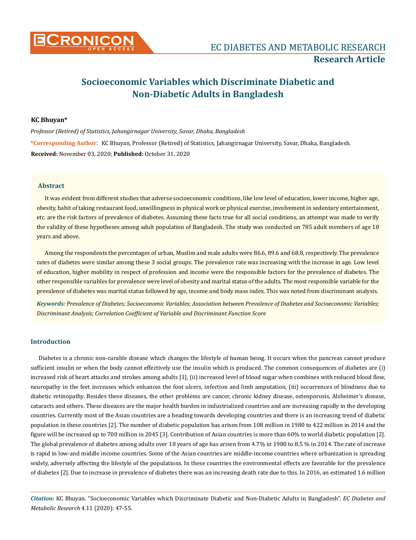

# **Socioeconomic Variables which Discriminate Diabetic and Non-Diabetic Adults in Bangladesh**

#### **KC Bhuyan\***

*Professor (Retired) of Statistics, Jahangirnagar University, Savar, Dhaka, Bangladesh*

**\*Corresponding Author**: KC Bhuyan, Professor (Retired) of Statistics, Jahangirnagar University, Savar, Dhaka, Bangladesh. **Received:** November 03, 2020; **Published:** October 31, 2020

## **Abstract**

It was evident from different studies that adverse socioeconomic conditions, like low level of education, lower income, higher age, obesity, habit of taking restaurant food, unwillingness in physical work or physical exercise, involvement in sedentary entertainment, etc. are the risk factors of prevalence of diabetes. Assuming these facts true for all social conditions, an attempt was made to verify the validity of these hypotheses among adult population of Bangladesh. The study was conducted on 785 adult members of age 18 years and above.

Among the respondents the percentages of urban, Muslim and male adults were 86.6, 89.6 and 68.8, respectively. The prevalence rates of diabetes were similar among these 3 social groups. The prevalence rate was increasing with the increase in age. Low level of education, higher mobility in respect of profession and income were the responsible factors for the prevalence of diabetes. The other responsible variables for prevalence were level of obesity and marital status of the adults. The most responsible variable for the prevalence of diabetes was marital status followed by age, income and body mass index. This was noted from discriminant analysis.

*Keywords: Prevalence of Diabetes; Socioeconomic Variables; Association between Prevalence of Diabetes and Socioeconomic Variables; Discriminant Analysis; Correlation Coefficient of Variable and Discriminant Function Score*

# **Introduction**

Diabetes is a chronic non-curable disease which changes the lifestyle of human being. It occurs when the pancreas cannot produce sufficient insulin or when the body cannot effectively use the insulin which is produced. The common consequences of diabetes are (i) increased risk of heart attacks and strokes among adults [1], (ii) increased level of blood sugar when combines with reduced blood flow, neuropathy in the feet increases which enhances the foot ulcers, infection and limb amputation, (iii) occurrences of blindness due to diabetic retinopathy. Besides these diseases, the other problems are cancer, chronic kidney disease, osteoporosis, Alzheimer's disease, cataracts and others. These diseases are the major health burden in industrialized countries and are increasing rapidly in the developing countries. Currently most of the Asian countries are a heading towards developing countries and there is an increasing trend of diabetic population in these countries [2]. The number of diabetic population has arisen from 108 million in 1980 to 422 million in 2014 and the figure will be increased up to 700 million in 2045 [3]. Contribution of Asian countries is more than 60% to world diabetic population [2]. The global prevalence of diabetes among adults over 18 years of age has arisen from 4.7% in 1980 to 8.5 % in 2014. The rate of increase is rapid in low-and middle income countries. Some of the Asian countries are middle-income countries where urbanization is spreading widely, adversely affecting the lifestyle of the populations. In these countries the environmental effects are favorable for the prevalence of diabetes [2]. Due to increase in prevalence of diabetes there was an increasing death rate due to this. In 2016, an estimated 1.6 million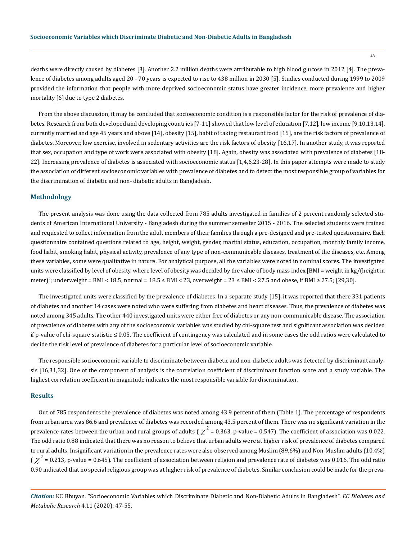deaths were directly caused by diabetes [3]. Another 2.2 million deaths were attributable to high blood glucose in 2012 [4]. The prevalence of diabetes among adults aged 20 - 70 years is expected to rise to 438 million in 2030 [5]. Studies conducted during 1999 to 2009 provided the information that people with more deprived socioeconomic status have greater incidence, more prevalence and higher mortality [6] due to type 2 diabetes.

From the above discussion, it may be concluded that socioeconomic condition is a responsible factor for the risk of prevalence of diabetes. Research from both developed and developing countries [7-11] showed that low level of education [7,12], low income [9,10,13,14], currently married and age 45 years and above [14], obesity [15], habit of taking restaurant food [15], are the risk factors of prevalence of diabetes. Moreover, low exercise, involved in sedentary activities are the risk factors of obesity [16,17]. In another study, it was reported that sex, occupation and type of work were associated with obesity [18]. Again, obesity was associated with prevalence of diabetes [18- 22]. Increasing prevalence of diabetes is associated with socioeconomic status [1,4,6,23-28]. In this paper attempts were made to study the association of different socioeconomic variables with prevalence of diabetes and to detect the most responsible group of variables for the discrimination of diabetic and non- diabetic adults in Bangladesh.

#### **Methodology**

The present analysis was done using the data collected from 785 adults investigated in families of 2 percent randomly selected students of American International University - Bangladesh during the summer semester 2015 - 2016. The selected students were trained and requested to collect information from the adult members of their families through a pre-designed and pre-tested questionnaire. Each questionnaire contained questions related to age, height, weight, gender, marital status, education, occupation, monthly family income, food habit, smoking habit, physical activity, prevalence of any type of non-communicable diseases, treatment of the diseases, etc. Among these variables, some were qualitative in nature. For analytical purpose, all the variables were noted in nominal scores. The investigated units were classified by level of obesity, where level of obesity was decided by the value of body mass index [BMI = weight in kg/(height in meter)<sup>2</sup>; underweight = BMI < 18.5, normal =  $18.5 \leq$  BMI < 23, overweight =  $23 \leq$  BMI <  $27.5$  and obese, if BMI  $\geq$  27.5; [29,30].

The investigated units were classified by the prevalence of diabetes. In a separate study [15], it was reported that there 331 patients of diabetes and another 14 cases were noted who were suffering from diabetes and heart diseases. Thus, the prevalence of diabetes was noted among 345 adults. The other 440 investigated units were either free of diabetes or any non-communicable disease. The association of prevalence of diabetes with any of the socioeconomic variables was studied by chi-square test and significant association was decided if p-value of chi-square statistic ≤ 0.05. The coefficient of contingency was calculated and in some cases the odd ratios were calculated to decide the risk level of prevalence of diabetes for a particular level of socioeconomic variable.

The responsible socioeconomic variable to discriminate between diabetic and non-diabetic adults was detected by discriminant analysis [16,31,32]. One of the component of analysis is the correlation coefficient of discriminant function score and a study variable. The highest correlation coefficient in magnitude indicates the most responsible variable for discrimination.

#### **Results**

Out of 785 respondents the prevalence of diabetes was noted among 43.9 percent of them (Table 1). The percentage of respondents from urban area was 86.6 and prevalence of diabetes was recorded among 43.5 percent of them. There was no significant variation in the prevalence rates between the urban and rural groups of adults ( $\chi^2$  = 0.363, p-value = 0.547). The coefficient of association was 0.022. The odd ratio 0.88 indicated that there was no reason to believe that urban adults were at higher risk of prevalence of diabetes compared to rural adults. Insignificant variation in the prevalence rates were also observed among Muslim (89.6%) and Non-Muslim adults (10.4%) (  $\chi^2$  = 0.213, p-value = 0.645). The coefficient of association between religion and prevalence rate of diabetes was 0.016. The odd ratio 0.90 indicated that no special religious group was at higher risk of prevalence of diabetes. Similar conclusion could be made for the preva-

*Citation:* KC Bhuyan. "Socioeconomic Variables which Discriminate Diabetic and Non-Diabetic Adults in Bangladesh". *EC Diabetes and Metabolic Research* 4.11 (2020): 47-55.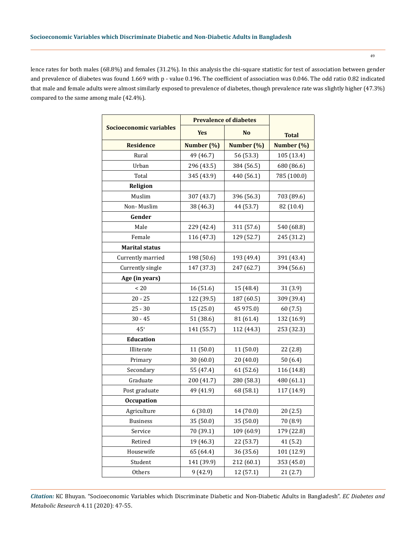lence rates for both males (68.8%) and females (31.2%). In this analysis the chi-square statistic for test of association between gender and prevalence of diabetes was found 1.669 with p - value 0.196. The coefficient of association was 0.046. The odd ratio 0.82 indicated that male and female adults were almost similarly exposed to prevalence of diabetes, though prevalence rate was slightly higher (47.3%) compared to the same among male (42.4%).

|                         | <b>Prevalence of diabetes</b> |            |              |  |
|-------------------------|-------------------------------|------------|--------------|--|
| Socioeconomic variables | <b>Yes</b>                    | <b>No</b>  | <b>Total</b> |  |
| <b>Residence</b>        | Number (%)                    | Number (%) | Number (%)   |  |
| Rural                   | 49 (46.7)                     | 56 (53.3)  |              |  |
| Urban                   | 296 (43.5)                    | 384 (56.5) | 680 (86.6)   |  |
| Total                   | 345 (43.9)                    | 440 (56.1) |              |  |
| Religion                |                               |            |              |  |
| Muslim                  | 307 (43.7)                    | 396 (56.3) | 703 (89.6)   |  |
| Non-Muslim              | 38 (46.3)                     | 44 (53.7)  |              |  |
| Gender                  |                               |            |              |  |
| Male                    | 229 (42.4)                    | 311 (57.6) | 540 (68.8)   |  |
| Female                  | 116 (47.3)                    | 129 (52.7) | 245 (31.2)   |  |
| <b>Marital status</b>   |                               |            |              |  |
| Currently married       | 198 (50.6)                    | 193 (49.4) | 391 (43.4)   |  |
| Currently single        | 147 (37.3)                    | 247 (62.7) | 394 (56.6)   |  |
| Age (in years)          |                               |            |              |  |
| < 20                    | 16 (51.6)                     | 15 (48.4)  | 31(3.9)      |  |
| $20 - 25$               | 122 (39.5)                    | 187 (60.5) | 309 (39.4)   |  |
| $25 - 30$               | 15 (25.0)                     | 45 975.0)  | 60(7.5)      |  |
| $30 - 45$               | 51 (38.6)                     | 81 (61.4)  | 132 (16.9)   |  |
| $45+$                   | 141 (55.7)                    | 112 (44.3) | 253 (32.3)   |  |
| <b>Education</b>        |                               |            |              |  |
| Illiterate              | 11 (50.0)                     | 11 (50.0)  | 22 (2.8)     |  |
| Primary                 | 30 (60.0)                     | 20 (40.0)  | 50(6.4)      |  |
| Secondary               | 55 (47.4)                     | 61 (52.6)  | 116 (14.8)   |  |
| Graduate                | 200 (41.7)                    | 280 (58.3) | 480 (61.1)   |  |
| Post graduate           | 49 (41.9)                     | 68 (58.1)  | 117 (14.9)   |  |
| Occupation              |                               |            |              |  |
| Agriculture             | 6(30.0)                       | 14 (70.0)  | 20(2.5)      |  |
| <b>Business</b>         | 35 (50.0)                     | 35 (50.0)  | 70 (8.9)     |  |
| Service                 | 70 (39.1)                     | 109 (60.9) | 179 (22.8)   |  |
| Retired                 | 19 (46.3)                     | 22 (53.7)  | 41 (5.2)     |  |
| Housewife               | 65 (64.4)                     | 36 (35.6)  | 101 (12.9)   |  |
| Student                 | 141 (39.9)                    | 212 (60.1) | 353 (45.0)   |  |
| Others                  | 9(42.9)                       | 12 (57.1)  | 21(2.7)      |  |

*Citation:* KC Bhuyan. "Socioeconomic Variables which Discriminate Diabetic and Non-Diabetic Adults in Bangladesh". *EC Diabetes and Metabolic Research* 4.11 (2020): 47-55.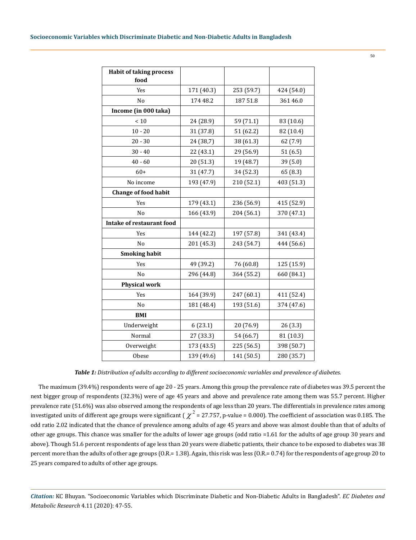| <b>Habit of taking process</b><br>food |            |            |            |  |
|----------------------------------------|------------|------------|------------|--|
| Yes                                    | 171 (40.3) | 253 (59.7) | 424 (54.0) |  |
| N <sub>o</sub>                         | 174 48.2   | 187 51.8   | 361 46.0   |  |
| Income (in 000 taka)                   |            |            |            |  |
| $<10$                                  | 24 (28.9)  | 59 (71.1)  | 83 (10.6)  |  |
| $10 - 20$                              | 31 (37.8)  | 51 (62.2)  | 82 (10.4)  |  |
| $20 - 30$                              | 24 (38,7)  | 38 (61.3)  | 62 (7.9)   |  |
| $30 - 40$                              | 22 (43.1)  | 29 (56.9)  | 51(6.5)    |  |
| $40 - 60$                              | 20 (51.3)  | 19 (48.7)  | 39 (5.0)   |  |
| $60+$                                  | 31 (47.7)  | 34 (52.3)  | 65 (8.3)   |  |
| No income                              | 193 (47.9) | 210 (52.1) | 403 (51.3) |  |
| <b>Change of food habit</b>            |            |            |            |  |
| Yes                                    | 179 (43.1) | 236 (56.9) | 415 (52.9) |  |
| N <sub>o</sub>                         | 166 (43.9) | 204 (56.1) | 370 (47.1) |  |
| <b>Intake of restaurant food</b>       |            |            |            |  |
| Yes                                    | 144 (42.2) | 197 (57.8) | 341 (43.4) |  |
| No                                     | 201 (45.3) | 243 (54.7) | 444 (56.6) |  |
| <b>Smoking habit</b>                   |            |            |            |  |
| Yes                                    | 49 (39.2)  | 76 (60.8)  | 125 (15.9) |  |
| N <sub>o</sub>                         | 296 (44.8) | 364 (55.2) | 660 (84.1) |  |
| <b>Physical work</b>                   |            |            |            |  |
| Yes                                    | 164 (39.9) | 247 (60.1) | 411 (52.4) |  |
| No                                     | 181 (48.4) | 193 (51.6) | 374 (47.6) |  |
| <b>BMI</b>                             |            |            |            |  |
| Underweight                            | 6(23.1)    | 20 (76.9)  | 26 (3.3)   |  |
| Normal                                 | 27 (33.3)  | 54 (66.7)  | 81 (10.3)  |  |
| Overweight                             | 173 (43.5) | 225 (56.5) | 398 (50.7) |  |
| Obese                                  | 139 (49.6) | 141 (50.5) | 280 (35.7) |  |

*Table 1: Distribution of adults according to different socioeconomic variables and prevalence of diabetes.*

The maximum (39.4%) respondents were of age 20 - 25 years. Among this group the prevalence rate of diabetes was 39.5 percent the next bigger group of respondents (32.3%) were of age 45 years and above and prevalence rate among them was 55.7 percent. Higher prevalence rate (51.6%) was also observed among the respondents of age less than 20 years. The differentials in prevalence rates among investigated units of different age groups were significant ( $\chi^2$  = 27.757, p-value = 0.000). The coefficient of association was 0.185. The odd ratio 2.02 indicated that the chance of prevalence among adults of age 45 years and above was almost double than that of adults of other age groups. This chance was smaller for the adults of lower age groups (odd ratio =1.61 for the adults of age group 30 years and above). Though 51.6 percent respondents of age less than 20 years were diabetic patients, their chance to be exposed to diabetes was 38 percent more than the adults of other age groups (O.R.= 1.38). Again, this risk was less (O.R.= 0.74) for the respondents of age group 20 to 25 years compared to adults of other age groups.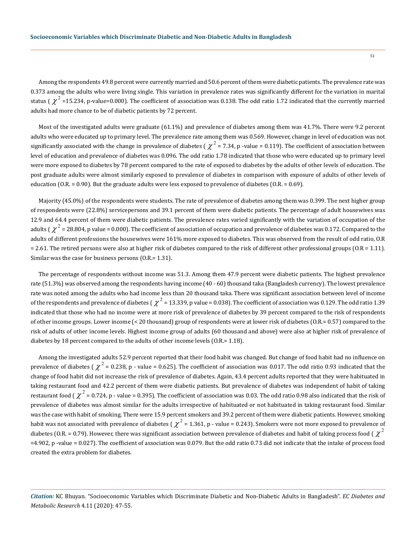Among the respondents 49.8 percent were currently married and 50.6 percent of them were diabetic patients. The prevalence rate was 0.373 among the adults who were living single. This variation in prevalence rates was significantly different for the variation in marital status (  $\chi^2$  =15.234, p-value=0.000). The coefficient of association was 0.138. The odd ratio 1.72 indicated that the currently married adults had more chance to be of diabetic patients by 72 percent.

Most of the investigated adults were graduate (61.1%) and prevalence of diabetes among them was 41.7%. There were 9.2 percent adults who were educated up to primary level. The prevalence rate among them was 0.569. However, change in level of education was not significantly associated with the change in prevalence of diabetes ( $\chi^2$  = 7.34, p -value = 0.119). The coefficient of association between level of education and prevalence of diabetes was 0.096. The odd ratio 1.78 indicated that those who were educated up to primary level were more exposed to diabetes by 78 percent compared to the rate of exposed to diabetes by the adults of other levels of education. The post graduate adults were almost similarly exposed to prevalence of diabetes in comparison with exposure of adults of other levels of education (O.R. = 0.90). But the graduate adults were less exposed to prevalence of diabetes (O.R. = 0.69).

Majority (45.0%) of the respondents were students. The rate of prevalence of diabetes among them was 0.399. The next higher group of respondents were (22.8%) servicepersons and 39.1 percent of them were diabetic patients. The percentage of adult housewives was 12.9 and 64.4 percent of them were diabetic patients. The prevalence rates varied significantly with the variation of occupation of the adults ( $\chi^2$  = 28.804, p value = 0.000). The coefficient of association of occupation and prevalence of diabetes was 0.172. Compared to the adults of different professions the housewives were 161% more exposed to diabetes. This was observed from the result of odd ratio, O.R  $= 2.61$ . The retired persons were also at higher risk of diabetes compared to the risk of different other professional groups ( $0.R = 1.11$ ). Similar was the case for business persons (O.R.= 1.31).

The percentage of respondents without income was 51.3. Among them 47.9 percent were diabetic patients. The highest prevalence rate (51.3%) was observed among the respondents having income (40 - 60) thousand taka (Bangladesh currency). The lowest prevalence rate was noted among the adults who had income less than 20 thousand taka. There was significant association between level of income of the respondents and prevalence of diabetes ( $\chi^2$  = 13.339, p value = 0.038). The coefficient of association was 0.129. The odd ratio 1.39 indicated that those who had no income were at more risk of prevalence of diabetes by 39 percent compared to the risk of respondents of other income groups. Lower income (< 20 thousand) group of respondents were at lower risk of diabetes (O.R.= 0.57) compared to the risk of adults of other income levels. Highest income group of adults (60 thousand and above) were also at higher risk of prevalence of diabetes by 18 percent compared to the adults of other income levels (O.R.= 1.18).

Among the investigated adults 52.9 percent reported that their food habit was changed. But change of food habit had no influence on prevalence of diabetes ( $\chi^2$  = 0.238, p - value = 0.625). The coefficient of association was 0.017. The odd ratio 0.93 indicated that the change of food habit did not increase the risk of prevalence of diabetes. Again, 43.4 percent adults reported that they were habituated in taking restaurant food and 42.2 percent of them were diabetic patients. But prevalence of diabetes was independent of habit of taking restaurant food ( $\chi^2$  = 0.724, p - value = 0.395). The coefficient of association was 0.03. The odd ratio 0.98 also indicated that the risk of prevalence of diabetes was almost similar for the adults irrespective of habituated or not habituated in taking restaurant food. Similar was the case with habit of smoking. There were 15.9 percent smokers and 39.2 percent of them were diabetic patients. However, smoking habit was not associated with prevalence of diabetes ( $\chi^2$  = 1.361, p - value = 0.243). Smokers were not more exposed to prevalence of diabetes (O.R. = 0.79). However, there was significant association between prevalence of diabetes and habit of taking process food ( $\chi^2$ =4.902, p -value = 0.027). The coefficient of association was 0.079. But the odd ratio 0.73 did not indicate that the intake of process food created the extra problem for diabetes.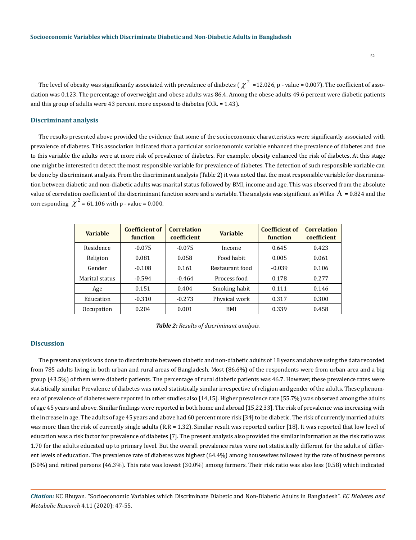52

The level of obesity was significantly associated with prevalence of diabetes ( $\chi^2$  =12.026, p - value = 0.007). The coefficient of association was 0.123. The percentage of overweight and obese adults was 86.4. Among the obese adults 49.6 percent were diabetic patients and this group of adults were 43 percent more exposed to diabetes (O.R. = 1.43).

#### **Discriminant analysis**

The results presented above provided the evidence that some of the socioeconomic characteristics were significantly associated with prevalence of diabetes. This association indicated that a particular socioeconomic variable enhanced the prevalence of diabetes and due to this variable the adults were at more risk of prevalence of diabetes. For example, obesity enhanced the risk of diabetes. At this stage one might be interested to detect the most responsible variable for prevalence of diabetes. The detection of such responsible variable can be done by discriminant analysis. From the discriminant analysis (Table 2) it was noted that the most responsible variable for discrimination between diabetic and non-diabetic adults was marital status followed by BMI, income and age. This was observed from the absolute value of correlation coefficient of the discriminant function score and a variable. The analysis was significant as Wilks  $\Lambda$  = 0.824 and the corresponding  $\chi^2$  = 61.106 with p - value = 0.000.

| <b>Variable</b> | <b>Coefficient of</b><br>function | <b>Correlation</b><br>coefficient | <b>Variable</b> | <b>Coefficient of</b><br>function | <b>Correlation</b><br>coefficient |
|-----------------|-----------------------------------|-----------------------------------|-----------------|-----------------------------------|-----------------------------------|
| Residence       | $-0.075$                          | $-0.075$                          | Income          | 0.645                             | 0.423                             |
| Religion        | 0.081                             | 0.058                             | Food habit      | 0.005                             | 0.061                             |
| Gender          | $-0.108$                          | 0.161                             | Restaurant food | $-0.039$                          | 0.106                             |
| Marital status  | $-0.594$                          | $-0.464$                          | Process food    | 0.178                             | 0.277                             |
| Age             | 0.151                             | 0.404                             | Smoking habit   | 0.111                             | 0.146                             |
| Education       | $-0.310$                          | $-0.273$                          | Physical work   | 0.317                             | 0.300                             |
| Occupation      | 0.204                             | 0.001                             | BMI             | 0.339                             | 0.458                             |

*Table 2: Results of discriminant analysis.*

#### **Discussion**

The present analysis was done to discriminate between diabetic and non-diabetic adults of 18 years and above using the data recorded from 785 adults living in both urban and rural areas of Bangladesh. Most (86.6%) of the respondents were from urban area and a big group (43.5%) of them were diabetic patients. The percentage of rural diabetic patients was 46.7. However, these prevalence rates were statistically similar. Prevalence of diabetes was noted statistically similar irrespective of religion and gender of the adults. These phenomena of prevalence of diabetes were reported in other studies also [14,15]. Higher prevalence rate (55.7%) was observed among the adults of age 45 years and above. Similar findings were reported in both home and abroad [15,22,33]. The risk of prevalence was increasing with the increase in age. The adults of age 45 years and above had 60 percent more risk [34] to be diabetic. The risk of currently married adults was more than the risk of currently single adults (R.R = 1.32). Similar result was reported earlier [18]. It was reported that low level of education was a risk factor for prevalence of diabetes [7]. The present analysis also provided the similar information as the risk ratio was 1.70 for the adults educated up to primary level. But the overall prevalence rates were not statistically different for the adults of different levels of education. The prevalence rate of diabetes was highest (64.4%) among housewives followed by the rate of business persons (50%) and retired persons (46.3%). This rate was lowest (30.0%) among farmers. Their risk ratio was also less (0.58) which indicated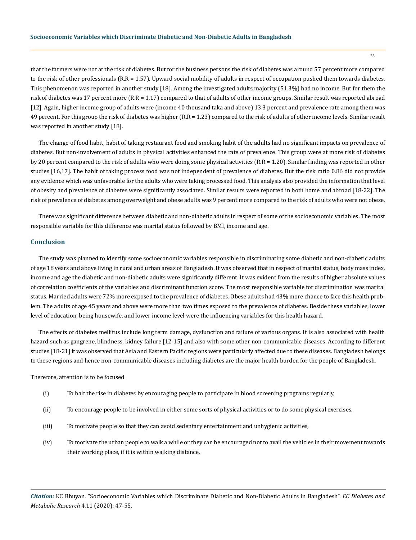that the farmers were not at the risk of diabetes. But for the business persons the risk of diabetes was around 57 percent more compared to the risk of other professionals (R.R = 1.57). Upward social mobility of adults in respect of occupation pushed them towards diabetes. This phenomenon was reported in another study [18]. Among the investigated adults majority (51.3%) had no income. But for them the risk of diabetes was 17 percent more (R.R = 1.17) compared to that of adults of other income groups. Similar result was reported abroad [12]. Again, higher income group of adults were (income 40 thousand taka and above) 13.3 percent and prevalence rate among them was 49 percent. For this group the risk of diabetes was higher (R.R = 1.23) compared to the risk of adults of other income levels. Similar result was reported in another study [18].

The change of food habit, habit of taking restaurant food and smoking habit of the adults had no significant impacts on prevalence of diabetes. But non-involvement of adults in physical activities enhanced the rate of prevalence. This group were at more risk of diabetes by 20 percent compared to the risk of adults who were doing some physical activities (R.R = 1.20). Similar finding was reported in other studies [16,17]. The habit of taking process food was not independent of prevalence of diabetes. But the risk ratio 0.86 did not provide any evidence which was unfavorable for the adults who were taking processed food. This analysis also provided the information that level of obesity and prevalence of diabetes were significantly associated. Similar results were reported in both home and abroad [18-22]. The risk of prevalence of diabetes among overweight and obese adults was 9 percent more compared to the risk of adults who were not obese.

There was significant difference between diabetic and non-diabetic adults in respect of some of the socioeconomic variables. The most responsible variable for this difference was marital status followed by BMI, income and age.

#### **Conclusion**

The study was planned to identify some socioeconomic variables responsible in discriminating some diabetic and non-diabetic adults of age 18 years and above living in rural and urban areas of Bangladesh. It was observed that in respect of marital status, body mass index, income and age the diabetic and non-diabetic adults were significantly different. It was evident from the results of higher absolute values of correlation coefficients of the variables and discriminant function score. The most responsible variable for discrimination was marital status. Married adults were 72% more exposed to the prevalence of diabetes. Obese adults had 43% more chance to face this health problem. The adults of age 45 years and above were more than two times exposed to the prevalence of diabetes. Beside these variables, lower level of education, being housewife, and lower income level were the influencing variables for this health hazard.

The effects of diabetes mellitus include long term damage, dysfunction and failure of various organs. It is also associated with health hazard such as gangrene, blindness, kidney failure [12-15] and also with some other non-communicable diseases. According to different studies [18-21] it was observed that Asia and Eastern Pacific regions were particularly affected due to these diseases. Bangladesh belongs to these regions and hence non-communicable diseases including diabetes are the major health burden for the people of Bangladesh.

Therefore, attention is to be focused

- (i) To halt the rise in diabetes by encouraging people to participate in blood screening programs regularly,
- (ii) To encourage people to be involved in either some sorts of physical activities or to do some physical exercises,
- (iii) To motivate people so that they can avoid sedentary entertainment and unhygienic activities,
- (iv) To motivate the urban people to walk a while or they can be encouraged not to avail the vehicles in their movement towards their working place, if it is within walking distance,

*Citation:* KC Bhuyan. "Socioeconomic Variables which Discriminate Diabetic and Non-Diabetic Adults in Bangladesh". *EC Diabetes and Metabolic Research* 4.11 (2020): 47-55.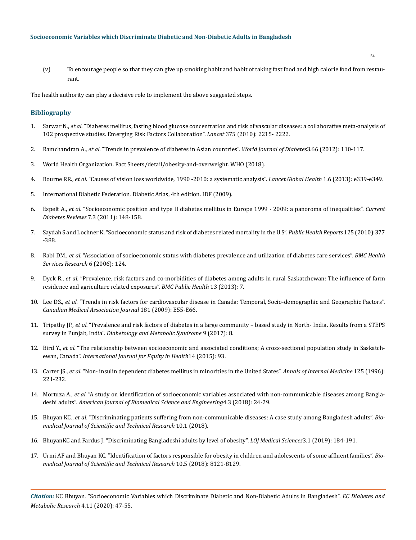(v) To encourage people so that they can give up smoking habit and habit of taking fast food and high calorie food from restaurant.

The health authority can play a decisive role to implement the above suggested steps.

## **Bibliography**

- 1. Sarwar N., *et al.* ["Diabetes mellitus, fasting blood glucose concentration and risk of vascular diseases: a collaborative meta-analysis of](https://pubmed.ncbi.nlm.nih.gov/20609967/)  [102 prospective studies. Emerging Risk Factors Collaboration".](https://pubmed.ncbi.nlm.nih.gov/20609967/) *Lancet* 375 (2010): 2215- 2222.
- 2. Ramchandran A., *et al.* ["Trends in prevalence of diabetes in Asian countries".](https://pubmed.ncbi.nlm.nih.gov/22737281/) *World Journal of Diabetes*3.66 (2012): 110-117.
- 3. World Health Organization. Fact Sheets/detail/obesity-and-overweight. WHO (2018).
- 4. Bourne RR., *et al.* "Causes of vision loss worldwide, 1990 -2010: a systematic analysis". *Lancet Global Health* 1.6 (2013): e339-e349.
- 5. International Diabetic Federation. Diabetic Atlas, 4th edition. IDF (2009).
- 6. Espelt A., *et al.* ["Socioeconomic position and type II diabetes mellitus in Europe 1999 2009: a panoroma of inequalities".](https://pubmed.ncbi.nlm.nih.gov/21418003/) *Current Diabetes Reviews* [7.3 \(2011\): 148-158.](https://pubmed.ncbi.nlm.nih.gov/21418003/)
- 7. [Saydah S and Lochner K. "Socioeconomic status and risk of diabetes related mortality in the U.S".](https://pubmed.ncbi.nlm.nih.gov/20433032/) *Public Health Reports* 125 (2010):377 [-388.](https://pubmed.ncbi.nlm.nih.gov/20433032/)
- 8. Rabi DM., *et al.* ["Association of socioeconomic status with diabetes prevalence and utilization of diabetes care services".](https://pubmed.ncbi.nlm.nih.gov/17018153/) *BMC Health [Services Research](https://pubmed.ncbi.nlm.nih.gov/17018153/)* 6 (2006): 124.
- 9. Dyck R., *et al.* ["Prevalence, risk factors and co-morbidities of diabetes among adults in rural Saskatchewan: The influence of farm](https://pubmed.ncbi.nlm.nih.gov/23289729/)  [residence and agriculture related exposures".](https://pubmed.ncbi.nlm.nih.gov/23289729/) *BMC Public Health* 13 (2013): 7.
- 10. Lee DS., *et al.* ["Trends in risk factors for cardiovascular disease in Canada: Temporal, Socio-demographic and Geographic Factors".](https://pubmed.ncbi.nlm.nih.gov/19620271/)  *[Canadian Medical Association Journal](https://pubmed.ncbi.nlm.nih.gov/19620271/)* 181 (2009): E55-E66.
- 11. Tripathy JP., *et al.* ["Prevalence and risk factors of diabetes in a large community based study in North- India. Results from a STEPS](https://www.researchgate.net/publication/312645832_Prevalence_and_risk_factors_of_diabetes_in_a_large_community-based_study_in_North_India_results_from_a_STEPS_survey_in_Punjab_India)  survey in Punjab, India". *[Diabetology and Metabolic Syndrome](https://www.researchgate.net/publication/312645832_Prevalence_and_risk_factors_of_diabetes_in_a_large_community-based_study_in_North_India_results_from_a_STEPS_survey_in_Punjab_India)* 9 (2017): 8.
- 12. Bird Y., *et al.* ["The relationship between socioeconomic and associated conditions; A cross-sectional population study in Saskatch](https://pubmed.ncbi.nlm.nih.gov/26458543/)ewan, Canada". *[International Journal for Equity in Health](https://pubmed.ncbi.nlm.nih.gov/26458543/)*14 (2015): 93.
- 13. Carter JS., *et al.* ["Non- insulin dependent diabetes mellitus in minorities in the United States".](https://europepmc.org/article/med/8686981) *Annals of Internal Medicine* 125 (1996): [221-232.](https://europepmc.org/article/med/8686981)
- 14. Mortuza A., *et al.* "A study on identification of socioeconomic variables associated with non-communicable diseases among Bangladeshi adults". *American Journal of Biomedical Science and Engineering*4.3 (2018): 24-29.
- 15. Bhuyan KC., *et al.* ["Discriminating patients suffering from non-communicable diseases: A case study among Bangladesh adults".](https://biomedres.us/fulltexts/BJSTR.MS.ID.001898.php) *Bio[medical Journal of Scientific and Technical Research](https://biomedres.us/fulltexts/BJSTR.MS.ID.001898.php)* 10.1 (2018).
- 16. [BhuyanKC and Fardus J. "Discriminating Bangladeshi adults by level of obesity".](https://lupinepublishers.com/medical-science-journal/fulltext/discriminating-bangladeshi-adults-by-level-of-obesity.ID.000152.php) *LOJ Medical Sciences*3.1 (2019): 184-191.
- 17. [Urmi AF and Bhuyan KC. "Identification of factors responsible for obesity in children and adolescents of some affluent families".](https://biomedres.us/pdfs/BJSTR.MS.ID.002017.pdf) *Bio[medical Journal of Scientific and Technical Research](https://biomedres.us/pdfs/BJSTR.MS.ID.002017.pdf)* 10.5 (2018): 8121-8129.

*Citation:* KC Bhuyan. "Socioeconomic Variables which Discriminate Diabetic and Non-Diabetic Adults in Bangladesh". *EC Diabetes and Metabolic Research* 4.11 (2020): 47-55.